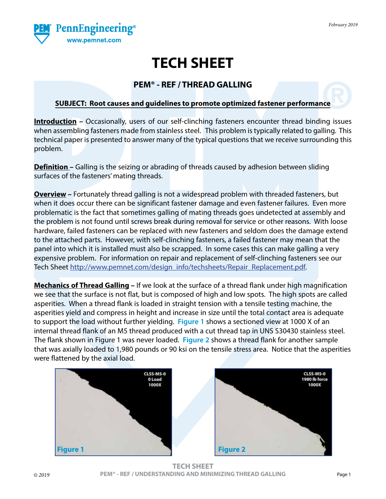

## **TECH SHEET**

### **PEM® - REF / THREAD GALLING**

#### **SUBJECT: Root causes and guidelines to promote optimized fastener performance**

**Introduction** – Occasionally, users of our self-clinching fasteners encounter thread binding issues when assembling fasteners made from stainless steel. This problem is typically related to galling. This technical paper is presented to answer many of the typical questions that we receive surrounding this problem.

**Definition –** Galling is the seizing or abrading of threads caused by adhesion between sliding surfaces of the fasteners' mating threads.

**Overview –** Fortunately thread galling is not a widespread problem with threaded fasteners, but when it does occur there can be significant fastener damage and even fastener failures. Even more problematic is the fact that sometimes galling of mating threads goes undetected at assembly and the problem is not found until screws break during removal for service or other reasons. With loose hardware, failed fasteners can be replaced with new fasteners and seldom does the damage extend to the attached parts. However, with self-clinching fasteners, a failed fastener may mean that the panel into which it is installed must also be scrapped. In some cases this can make galling a very expensive problem. For information on repair and replacement of self-clinching fasteners see our Tech Sheet [http://www.pemnet.com/design\\_info/techsheets/Repair\\_Replacement.pdf](http://www.pemnet.com/design_info/techsheets/Repair_Replacement.pdf).

**Mechanics of Thread Galling –** If we look at the surface of a thread flank under high magnification we see that the surface is not flat, but is composed of high and low spots. The high spots are called asperities. When a thread flank is loaded in straight tension with a tensile testing machine, the asperities yield and compress in height and increase in size until the total contact area is adequate to support the load without further yielding. **Figure 1** shows a sectioned view at 1000 X of an internal thread flank of an M5 thread produced with a cut thread tap in UNS S30430 stainless steel. The flank shown in Figure 1 was never loaded. **Figure 2** shows a thread flank for another sample that was axially loaded to 1,980 pounds or 90 ksi on the tensile stress area. Notice that the asperities were flattened by the axial load.

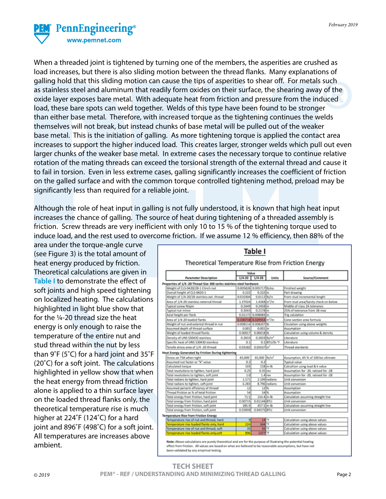

When a threaded joint is tightened by turning one of the members, the asperities are crushed as load increases, but there is also sliding motion between the thread flanks. Many explanations of galling hold that this sliding motion can cause the tips of asperities to shear off. For metals such as stainless steel and aluminum that readily form oxides on their surface, the shearing away of the oxide layer exposes bare metal. With adequate heat from friction and pressure from the induced load, these bare spots can weld together. Welds of this type have been found to be stronger than either base metal. Therefore, with increased torque as the tightening continues the welds themselves will not break, but instead chunks of base metal will be pulled out of the weaker base metal. This is the initiation of galling. As more tightening torque is applied the contact area increases to support the higher induced load. This creates larger, stronger welds which pull out even larger chunks of the weaker base metal. In extreme cases the necessary torque to continue relative rotation of the mating threads can exceed the torsional strength of the external thread and cause it to fail in torsion. Even in less extreme cases, galling significantly increases the coefficient of friction on the galled surface and with the common torque controlled tightening method, preload may be significantly less than required for a reliable joint.

Although the role of heat input in galling is not fully understood, it is known that high heat input increases the chance of galling. The source of heat during tightening of a threaded assembly is friction. Screw threads are very inefficient with only 10 to 15 % of the tightening torque used to induce load, and the rest used to overcome friction. If we assume 12 % efficiency, then 88% of the

area under the torque-angle curve (see Figure 3) is the total amount of heat energy produced by friction. Theoretical calculations are given in **Table I** to demonstrate the effect of soft joints and high speed tightening on localized heating. The calculations highlighted in light blue show that for the ¼-20 thread size the heat energy is only enough to raise the temperature of the entire nut and stud thread within the nut by less than 9˚F (5˚C) for a hard joint and 35˚F (20˚C) for a soft joint. The calculations highlighted in yellow show that when the heat energy from thread friction alone is applied to a thin surface layer on the loaded thread flanks only, the theoretical temperature rise is much higher at 224˚F (124˚C) for a hard joint and 896˚F (498˚C) for a soft joint. All temperatures are increases above ambient.

|                                                                       |            | Value                                 |               |                                      |  |  |
|-----------------------------------------------------------------------|------------|---------------------------------------|---------------|--------------------------------------|--|--|
| <b>Parameter Description</b>                                          | $1/4 - 20$ | $1/4 - 28$                            | Units         | Source/Comment                       |  |  |
| Properties of 1/4 -20 Thread Size 300 series stainless steel hardware |            |                                       |               |                                      |  |  |
| Weight of CLS-0420/28-1 Clinch nut                                    |            | 0.005826 0.005717 lb/ea.              |               | Finished weight                      |  |  |
| Overall height of CLS-0420-1                                          | 0.222      | $0.222$ in                            |               | Part drawing                         |  |  |
| Weight of 1/4-20/28 stainless ext. thread                             | 0.010304   | 0.0112 lb/in                          |               | From stud incremental length         |  |  |
| Area of 1/4-20 stainless external thread                              | 1.37024    | 1.4268 in <sup>2</sup> /in            |               | From stud area/Sanity check on below |  |  |
| <b>Typical screw Major</b>                                            | 0.2449     | $0.2458$ in                           |               | Middle of class 2A tolerance         |  |  |
| Typical nut minor                                                     | 0.2043     | $0.2178$ in                           |               | 25% of tolerance from 2B max         |  |  |
| Axial height per flank                                                |            | 0.01172 0.008083 in                   |               | Trig calulation                      |  |  |
| Area of 1/4-20 loaded flanks                                          |            | 0.330718 0.329553 in <sup>7</sup> /in |               | Cone section area formula            |  |  |
| Weight of nut and external thread in nut                              |            | 0.008114 0.008207 lb                  |               | Clculation using above weights       |  |  |
| Assumed depth of thread surface                                       | 0.001      | 0.001 in                              |               | Assumption                           |  |  |
| Weight of loaded thread flanks                                        | 0.00017    | $0.00018$ lb                          |               | Calculation using volume & density   |  |  |
| Density of UNS S30430 stainless                                       | 0.2833     | $0.2833 1 b / m^3$                    |               | Literature                           |  |  |
| Specific heat of UNS \$30430 stainless                                | 0.1        |                                       | 0.1 BTU/Ib-"F | Literature                           |  |  |
| Tensile stress area of 1/4 -20 thread                                 | 0.03182    | $0.03637 ln^2$                        |               | Thread standards                     |  |  |
| Heat Energy Generated by Friction During tightening                   |            |                                       |               |                                      |  |  |
| Stress on TSA when tight                                              | 65,000     | 65,000 lb/in <sup>2</sup>             |               | Assumption, 65 % of 100 ksi ultimate |  |  |
| Assumed nut factor or "k" value                                       | 0.2        | 0.2                                   |               | Typical value                        |  |  |
| Calculated torque                                                     | 103        |                                       | $118$ in-Ib   | Calcultion using load & k value      |  |  |
| Total revolutions to tighten, hard joint                              | 0.25       | $0.35$ rev                            |               | Assumption for -20, ratioed for -28  |  |  |
| Total revolutions to tighten, soft joint                              | 1.0        |                                       | $1.4$ rev     | Assumption for -20, ratioed for -28  |  |  |
| Total radians to tighten, hard joint                                  | 1.571      |                                       | 2.199 radians | Unit conversion                      |  |  |
| Total radians to tighten, soft joint                                  | 6.283      |                                       | 8.796 radians | Unit conversion                      |  |  |
| Assumed percent efficiency of thread                                  | 12         | 12 <sup>5</sup>                       |               | Assumption                           |  |  |
| Thread friction as % of total friction                                | 54         | 54 %                                  |               | Assumption                           |  |  |
| Total energy from friction, hard joint                                | 71.5       | 114.4 in-lb                           |               | Calculation assuming straight line   |  |  |
| Total energy from friction, hard joint                                | 0.00715    | 0.01144 BTU                           |               | Unit conversion                      |  |  |
| Total energy from friction, soft joint                                | 285.9      | 457.5 in-lb                           |               | Calculation assuming straight line   |  |  |
| Total energy from friction, soft joint                                | 0.02859    | 0.04575 BTU                           |               | Unit conversion                      |  |  |
| Temperature Rise from Friction Energy                                 |            |                                       |               |                                      |  |  |
| Temperature rise of nut and thread, hard                              | 9          | $14$ F                                |               | Calculation using above values       |  |  |
| Temperature rise loaded flanks only, hard                             | 224        | $344$ <sup>*</sup> F                  |               | Calculation using above values       |  |  |
| Temperature rise of nut and thread, soft                              | 35         | <b>56 FF</b>                          |               | Calculation using above values       |  |  |
| Temperature rise loaded flanks only,soft                              | 896        | 1377 <sup>e</sup>                     |               | Calculation using above values       |  |  |

# Table I

been validated by any empirical testing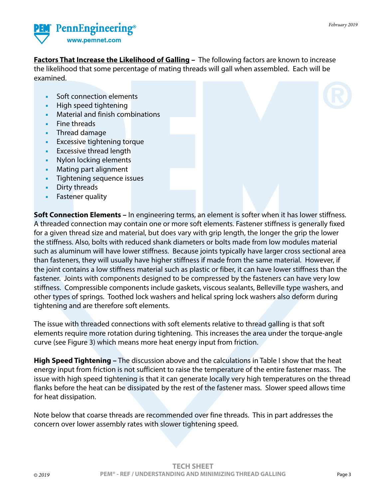

**Factors That Increase the Likelihood of Galling –** The following factors are known to increase the likelihood that some percentage of mating threads will gall when assembled. Each will be examined.

- **•** Soft connection elements
- **•** High speed tightening
- **•** Material and finish combinations
- **•** Fine threads
- **•** Thread damage
- **•** Excessive tightening torque
- **•** Excessive thread length
- **•** Nylon locking elements
- **•** Mating part alignment
- **•** Tightening sequence issues
- **•** Dirty threads
- **•** Fastener quality

**Soft Connection Elements –** In engineering terms, an element is softer when it has lower stiffness. A threaded connection may contain one or more soft elements. Fastener stiffness is generally fixed for a given thread size and material, but does vary with grip length, the longer the grip the lower the stiffness. Also, bolts with reduced shank diameters or bolts made from low modules material such as aluminum will have lower stiffness. Because joints typically have larger cross sectional area than fasteners, they will usually have higher stiffness if made from the same material. However, if the joint contains a low stiffness material such as plastic or fiber, it can have lower stiffness than the fastener. Joints with components designed to be compressed by the fasteners can have very low stiffness. Compressible components include gaskets, viscous sealants, Belleville type washers, and other types of springs. Toothed lock washers and helical spring lock washers also deform during tightening and are therefore soft elements.

The issue with threaded connections with soft elements relative to thread galling is that soft elements require more rotation during tightening. This increases the area under the torque-angle curve (see Figure 3) which means more heat energy input from friction.

**High Speed Tightening –** The discussion above and the calculations in Table I show that the heat energy input from friction is not sufficient to raise the temperature of the entire fastener mass. The issue with high speed tightening is that it can generate locally very high temperatures on the thread flanks before the heat can be dissipated by the rest of the fastener mass. Slower speed allows time for heat dissipation.

Note below that coarse threads are recommended over fine threads. This in part addresses the concern over lower assembly rates with slower tightening speed.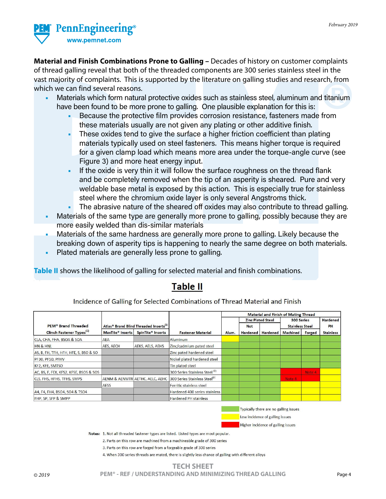

**Material and Finish Combinations Prone to Galling –** Decades of history on customer complaints of thread galling reveal that both of the threaded components are 300 series stainless steel in the vast majority of complaints. This is supported by the literature on galling studies and research, from which we can find several reasons.

- **•** Materials which form natural protective oxides such as stainless steel, aluminum and titanium have been found to be more prone to galling. One plausible explanation for this is:
	- **•** Because the protective film provides corrosion resistance, fasteners made from these materials usually are not given any plating or other additive finish.
	- **•** These oxides tend to give the surface a higher friction coefficient than plating materials typically used on steel fasteners. This means higher torque is required for a given clamp load which means more area under the torque-angle curve (see Figure 3) and more heat energy input.
	- **•** If the oxide is very thin it will follow the surface roughness on the thread flank and be completely removed when the tip of an asperity is sheared. Pure and very weldable base metal is exposed by this action. This is especially true for stainless steel where the chromium oxide layer is only several Angstroms thick.
		- **•** The abrasive nature of the sheared off oxides may also contribute to thread galling.
- **•** Materials of the same type are generally more prone to galling, possibly because they are more easily welded than dis-similar materials
- **•** Materials of the same hardness are generally more prone to galling. Likely because the breaking down of asperity tips is happening to nearly the same degree on both materials.
- **•** Plated materials are generally less prone to galling.

**Table II** shows the likelihood of galling for selected material and finish combinations.

### **Table II**

Incidence of Galling for Selected Combinations of Thread Material and Finish

|                                        |                                                    |                               |                                                                           |       | <b>Material and Finish of Mating Thread</b> |                          |                 |                        |                  |  |
|----------------------------------------|----------------------------------------------------|-------------------------------|---------------------------------------------------------------------------|-------|---------------------------------------------|--------------------------|-----------------|------------------------|------------------|--|
|                                        |                                                    |                               |                                                                           |       |                                             | <b>Zinc Plated Steel</b> |                 | <b>300 Series</b>      |                  |  |
| <b>PEM<sup>®</sup> Brand Threaded</b>  | Atlas® Brand Blind Threaded Inserts <sup>(1)</sup> |                               |                                                                           |       | <b>Not</b>                                  |                          |                 | <b>Stainless Steel</b> |                  |  |
| Clinch Fastener Types <sup>(1)</sup>   | <b>MaxTite<sup>®</sup></b> Inserts                 | SpinTite <sup>®</sup> Inserts | <b>Fastener Material</b>                                                  | Alum. |                                             | <b>Hardened Hardened</b> | <b>Machined</b> | <b>Forged</b>          | <b>Stainless</b> |  |
| CLA, CHA, FHA, BSOA & SOA              | AEA                                                |                               | <b>Aluminum</b>                                                           |       |                                             |                          |                 |                        |                  |  |
| <b>HN &amp; HNL</b>                    | AES, AECH                                          | AEKS, AELS, AEHS              | Zinc/cadmium pated steel                                                  |       |                                             |                          |                 |                        |                  |  |
| AS, B, FH, TFH, HFH, HFE, S, BSO & SO  |                                                    |                               | Zinc pated hardened steel                                                 |       |                                             |                          |                 |                        |                  |  |
| PF30, PF50, PFHV                       |                                                    |                               | Nickel plated hardened steel                                              |       |                                             |                          |                 |                        |                  |  |
| KF2, KFE, SMTSO                        |                                                    |                               | Tin plated steel                                                          |       |                                             |                          |                 |                        |                  |  |
| AC, BS, F, FEX, KFS2, KFSE, BSOS & SOS |                                                    |                               | 300 Series Stainless Steel <sup>(2)</sup>                                 |       |                                             |                          |                 | Note 4                 |                  |  |
| CLS, FHS, HFHS, TFHS, SMPS             |                                                    |                               | AENM & AENMTR AETHC, AELC, AEHC 300 Series Stainless Steel <sup>[3]</sup> |       |                                             |                          | Note 4          |                        |                  |  |
|                                        | <b>AESS</b>                                        |                               | Ferritic stainless steel                                                  |       |                                             |                          |                 |                        |                  |  |
| A4, F4, FH4, BSO4, SO4 & TSO4          |                                                    |                               | Hardened 400 series stainless                                             |       |                                             |                          |                 |                        |                  |  |
| FHP, SP, SFP & SMPP                    |                                                    |                               | <b>Hardened PH stainless</b>                                              |       |                                             |                          |                 |                        |                  |  |

Typically there are no galling issues Low incidence of galling issues Higher incidence of galling issues

Notes: 1. Not all threaded fastener types are listed. Listed types are most popular.

2. Parts on this row are machined from a machineable grade of 300 series

3. Parts on this row are forged from a forgeable grade of 300 series

4. When 300 series threads are mated, there is slightly less chance of galling with different alloys

#### **TECH SHEET** *© 2019* **PEM® - REF / UNDERSTANDING AND MINIMIZING THREAD GALLING** Page 4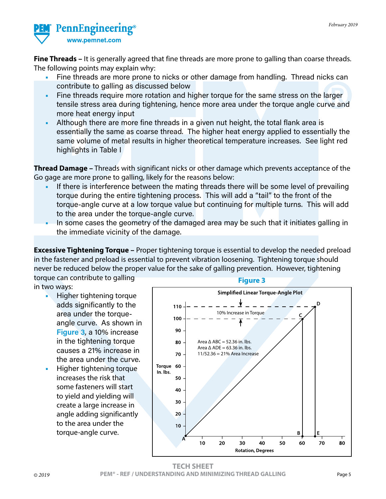

**Fine Threads –** It is generally agreed that fine threads are more prone to galling than coarse threads. The following points may explain why:

- **•** Fine threads are more prone to nicks or other damage from handling. Thread nicks can contribute to galling as discussed below
- **•** Fine threads require more rotation and higher torque for the same stress on the larger tensile stress area during tightening, hence more area under the torque angle curve and more heat energy input
- **•** Although there are more fine threads in a given nut height, the total flank area is essentially the same as coarse thread. The higher heat energy applied to essentially the same volume of metal results in higher theoretical temperature increases. See light red highlights in Table I

**Thread Damage –** Threads with significant nicks or other damage which prevents acceptance of the Go gage are more prone to galling, likely for the reasons below:

- **•** If there is interference between the mating threads there will be some level of prevailing torque during the entire tightening process. This will add a "tail" to the front of the torque-angle curve at a low torque value but continuing for multiple turns. This will add to the area under the torque-angle curve.
- **•** In some cases the geometry of the damaged area may be such that it initiates galling in the immediate vicinity of the damage.

**Excessive Tightening Torque –** Proper tightening torque is essential to develop the needed preload in the fastener and preload is essential to prevent vibration loosening. Tightening torque should never be reduced below the proper value for the sake of galling prevention. However, tightening torque can contribute to galling

in two ways:

- **•** Higher tightening torque adds significantly to the area under the torqueangle curve. As shown in **Figure 3**, a 10% increase in the tightening torque causes a 21% increase in the area under the curve.
- **•** Higher tightening torque increases the risk that some fasteners will start to yield and yielding will create a large increase in angle adding significantly to the area under the torque-angle curve.





**TECH SHEET** *© 2019* **PEM® - REF / UNDERSTANDING AND MINIMIZING THREAD GALLING** Page 5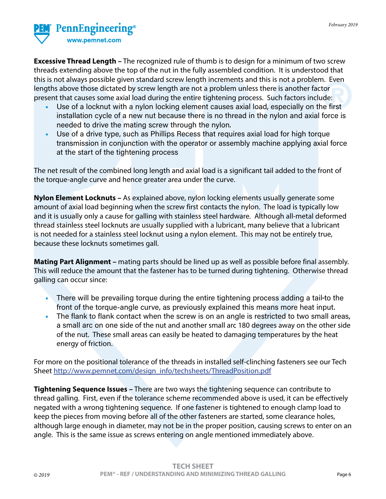

**Excessive Thread Length –** The recognized rule of thumb is to design for a minimum of two screw threads extending above the top of the nut in the fully assembled condition. It is understood that this is not always possible given standard screw length increments and this is not a problem. Even lengths above those dictated by screw length are not a problem unless there is another factor present that causes some axial load during the entire tightening process. Such factors include:

- **•** Use of a locknut with a nylon locking element causes axial load, especially on the first installation cycle of a new nut because there is no thread in the nylon and axial force is needed to drive the mating screw through the nylon.
- **•** Use of a drive type, such as Phillips Recess that requires axial load for high torque transmission in conjunction with the operator or assembly machine applying axial force at the start of the tightening process

The net result of the combined long length and axial load is a significant tail added to the front of the torque-angle curve and hence greater area under the curve.

**Nylon Element Locknuts –** As explained above, nylon locking elements usually generate some amount of axial load beginning when the screw first contacts the nylon. The load is typically low and it is usually only a cause for galling with stainless steel hardware. Although all-metal deformed thread stainless steel locknuts are usually supplied with a lubricant, many believe that a lubricant is not needed for a stainless steel locknut using a nylon element. This may not be entirely true, because these locknuts sometimes gall.

**Mating Part Alignment –** mating parts should be lined up as well as possible before final assembly. This will reduce the amount that the fastener has to be turned during tightening. Otherwise thread galling can occur since:

- **•** There will be prevailing torque during the entire tightening process adding a tail to the front of the torque-angle curve, as previously explained this means more heat input.
- **•** The flank to flank contact when the screw is on an angle is restricted to two small areas, a small arc on one side of the nut and another small arc 180 degrees away on the other side of the nut. These small areas can easily be heated to damaging temperatures by the heat energy of friction.

For more on the positional tolerance of the threads in installed self-clinching fasteners see our Tech Sheet [http://www.pemnet.com/design\\_info/techsheets/ThreadPosition.pdf](http://www.pemnet.com/design_info/techsheets/ThreadPosition.pdf)

**Tightening Sequence Issues –** There are two ways the tightening sequence can contribute to thread galling. First, even if the tolerance scheme recommended above is used, it can be effectively negated with a wrong tightening sequence. If one fastener is tightened to enough clamp load to keep the pieces from moving before all of the other fasteners are started, some clearance holes, although large enough in diameter, may not be in the proper position, causing screws to enter on an angle. This is the same issue as screws entering on angle mentioned immediately above.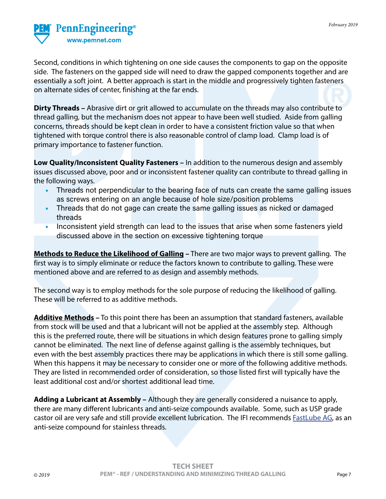

Second, conditions in which tightening on one side causes the components to gap on the opposite side. The fasteners on the gapped side will need to draw the gapped components together and are essentially a soft joint. A better approach is start in the middle and progressively tighten fasteners on alternate sides of center, finishing at the far ends.

**Dirty Threads –** Abrasive dirt or grit allowed to accumulate on the threads may also contribute to thread galling, but the mechanism does not appear to have been well studied. Aside from galling concerns, threads should be kept clean in order to have a consistent friction value so that when tightened with torque control there is also reasonable control of clamp load. Clamp load is of primary importance to fastener function.

**Low Quality/Inconsistent Quality Fasteners –** In addition to the numerous design and assembly issues discussed above, poor and or inconsistent fastener quality can contribute to thread galling in the following ways.

- **•** Threads not perpendicular to the bearing face of nuts can create the same galling issues as screws entering on an angle because of hole size/position problems
- **•** Threads that do not gage can create the same galling issues as nicked or damaged threads
- **•** Inconsistent yield strength can lead to the issues that arise when some fasteners yield discussed above in the section on excessive tightening torque

**Methods to Reduce the Likelihood of Galling –** There are two major ways to prevent galling. The first way is to simply eliminate or reduce the factors known to contribute to galling. These were mentioned above and are referred to as design and assembly methods.

The second way is to employ methods for the sole purpose of reducing the likelihood of galling. These will be referred to as additive methods.

**Additive Methods –** To this point there has been an assumption that standard fasteners, available from stock will be used and that a lubricant will not be applied at the assembly step. Although this is the preferred route, there will be situations in which design features prone to galling simply cannot be eliminated. The next line of defense against galling is the assembly techniques, but even with the best assembly practices there may be applications in which there is still some galling. When this happens it may be necessary to consider one or more of the following additive methods. They are listed in recommended order of consideration, so those listed first will typically have the least additional cost and/or shortest additional lead time.

**Adding a Lubricant at Assembly –** Although they are generally considered a nuisance to apply, there are many different lubricants and anti-seize compounds available. Some, such as USP grade castor oil are very safe and still provide excellent lubrication. The IFI recommends **[FastLube AG](http://www.fastorq.com/products/lubricants/)**, as an anti-seize compound for stainless threads.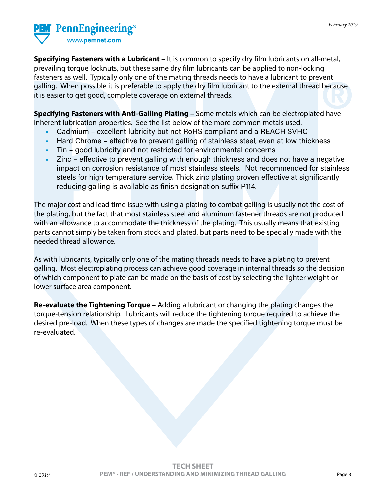

**Specifying Fasteners with a Lubricant –** It is common to specify dry film lubricants on all-metal, prevailing torque locknuts, but these same dry film lubricants can be applied to non-locking fasteners as well. Typically only one of the mating threads needs to have a lubricant to prevent galling. When possible it is preferable to apply the dry film lubricant to the external thread because it is easier to get good, complete coverage on external threads.

**Specifying Fasteners with Anti-Galling Plating –** Some metals which can be electroplated have inherent lubrication properties. See the list below of the more common metals used.

- **•** Cadmium excellent lubricity but not RoHS compliant and a REACH SVHC
- **•** Hard Chrome effective to prevent galling of stainless steel, even at low thickness
- **•** Tin good lubricity and not restricted for environmental concerns
- **•** Zinc effective to prevent galling with enough thickness and does not have a negative impact on corrosion resistance of most stainless steels. Not recommended for stainless steels for high temperature service. Thick zinc plating proven effective at significantly reducing galling is available as finish designation suffix P114.

The major cost and lead time issue with using a plating to combat galling is usually not the cost of the plating, but the fact that most stainless steel and aluminum fastener threads are not produced with an allowance to accommodate the thickness of the plating. This usually means that existing parts cannot simply be taken from stock and plated, but parts need to be specially made with the needed thread allowance.

As with lubricants, typically only one of the mating threads needs to have a plating to prevent galling. Most electroplating process can achieve good coverage in internal threads so the decision of which component to plate can be made on the basis of cost by selecting the lighter weight or lower surface area component.

**Re-evaluate the Tightening Torque –** Adding a lubricant or changing the plating changes the torque-tension relationship. Lubricants will reduce the tightening torque required to achieve the desired pre-load. When these types of changes are made the specified tightening torque must be re-evaluated.